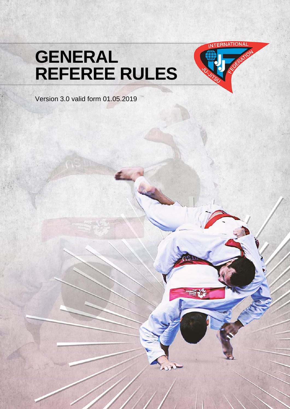# **GENERAL REFEREE RULES**



Version 3.0 valid form 01.05.2019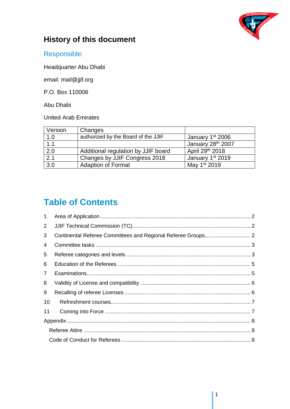

#### **History of this document**

Responsible:

Headquarter Abu Dhabi

email: mail@jjif.org

P.O. Box 110006

Abu Dhabi

United Arab Emirates

| Version          | Changes                             |                               |
|------------------|-------------------------------------|-------------------------------|
| 1.0              | authorized by the Board of the JJIF | January 1 <sup>st</sup> 2006  |
| 1.1              |                                     | January 28 <sup>th</sup> 2007 |
| 2.0              | Additional regulation by JJIF board | April 29th 2018               |
| $\overline{2.1}$ | Changes by JJIF Congress 2018       | January 1 <sup>st</sup> 2019  |
| $\overline{3.0}$ | <b>Adaption of Format</b>           | May 1 <sup>st</sup> 2019      |

## **Table of Contents**

| $\mathbf{1}$   |  |
|----------------|--|
| $\mathbf{2}$   |  |
| 3              |  |
| 4              |  |
| 5              |  |
| 6              |  |
| $\overline{7}$ |  |
| 8              |  |
| 9              |  |
| 10             |  |
| 11             |  |
|                |  |
|                |  |
|                |  |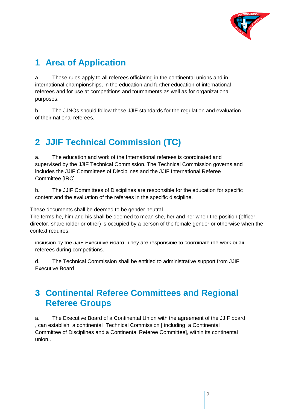

## <span id="page-2-0"></span>**1 Area of Application**

a. These rules apply to all referees officiating in the continental unions and in international championships, in the education and further education of international referees and for use at competitions and tournaments as well as for organizational purposes.

b. The JJNOs should follow these JJIF standards for the regulation and evaluation of their national referees.

# <span id="page-2-1"></span>**2 JJIF Technical Commission (TC)**

a. The education and work of the International referees is coordinated and supervised by the JJIF Technical Commission. The Technical Commission governs and includes the JJIF Committees of Disciplines and the JJIF International Referee Committee [IRC]

b. The JJIF Committees of Disciplines are responsible for the education for specific content and the evaluation of the referees in the specific discipline.

These documents shall be deemed to be gender neutral.

The terms he, him and his shall be deemed to mean she, her and her when the position (officer, complete consistence Committee Committee Committee Committee Committee Committee consists of all  $\mathcal{L}$ disciplines. Further technical representatives of Continental Unions can be appointed for director, shareholder or other) is occupied by a person of the female gender or otherwise when the context requires.

inclusion by the JJIF Executive Board. They are responsible to coordinate the work of all referees during competitions.

d. The Technical Commission shall be entitled to administrative support from JJIF Executive Board

## <span id="page-2-2"></span>**3 Continental Referee Committees and Regional Referee Groups**

a. The Executive Board of a Continental Union with the agreement of the JJIF board , can establish a continental Technical Commission [ including a Continental Committee of Disciplines and a Continental Referee Committee], within its continental union..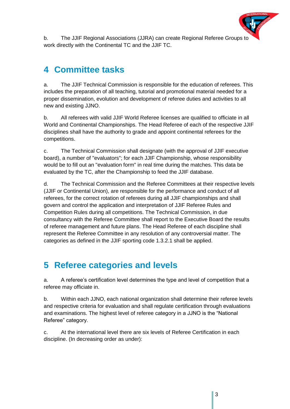

b. The JJIF Regional Associations (JJRA) can create Regional Referee Groups to work directly with the Continental TC and the JJIF TC.

# <span id="page-3-0"></span>**4 Committee tasks**

a. The JJIF Technical Commission is responsible for the education of referees. This includes the preparation of all teaching, tutorial and promotional material needed for a proper dissemination, evolution and development of referee duties and activities to all new and existing JJNO.

b. All referees with valid JJIF World Referee licenses are qualified to officiate in all World and Continental Championships. The Head Referee of each of the respective JJIF disciplines shall have the authority to grade and appoint continental referees for the competitions.

c. The Technical Commission shall designate (with the approval of JJIF executive board), a number of "evaluators"; for each JJIF Championship, whose responsibility would be to fill out an "evaluation form" in real time during the matches. This data be evaluated by the TC, after the Championship to feed the JJIF database.

d. The Technical Commission and the Referee Committees at their respective levels (JJIF or Continental Union), are responsible for the performance and conduct of all referees, for the correct rotation of referees during all JJIF championships and shall govern and control the application and interpretation of JJIF Referee Rules and Competition Rules during all competitions. The Technical Commission, in due consultancy with the Referee Committee shall report to the Executive Board the results of referee management and future plans. The Head Referee of each discipline shall represent the Referee Committee in any resolution of any controversial matter. The categories as defined in the JJIF sporting code 1.3.2.1 shall be applied.

## <span id="page-3-1"></span>**5 Referee categories and levels**

a. A referee's certification level determines the type and level of competition that a referee may officiate in.

b. Within each JJNO, each national organization shall determine their referee levels and respective criteria for evaluation and shall regulate certification through evaluations and examinations. The highest level of referee category in a JJNO is the "National Referee" category.

c. At the international level there are six levels of Referee Certification in each discipline. (In decreasing order as under):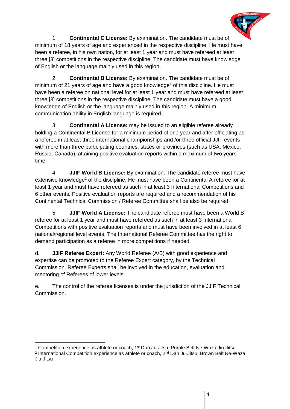

1. **Continental C License:** By examination. The candidate must be of minimum of 18 years of age and experienced in the respective discipline. He must have been a referee, in his own nation, for at least 1 year and must have refereed at least three [3] competitions in the respective discipline. The candidate must have knowledge of English or the language mainly used in this region.

2. **Continental B License:** By examination. The candidate must be of minimum of 21 years of age and have a good knowledge<sup>1</sup> of this discipline. He must have been a referee on national level for at least 1 year and must have refereed at least three [3] competitions in the respective discipline. The candidate must have a good knowledge of English or the language mainly used in this region. A minimum communication ability in English language is required.

3. **Continental A License:** may be issued to an eligible referee already holding a Continental B License for a minimum period of one year and after officiating as a referee in at least three international championships and /or three official JJIF events with more than three participating countries, states or provinces (such as USA, Mexico, Russia, Canada), attaining positive evaluation reports within a maximum of two years' time.

4. **JJIF World B License:** By examination. The candidate referee must have extensive knowledge<sup>2</sup> of the discipline. He must have been a Continental A referee for at least 1 year and must have refereed as such in at least 3 International Competitions and 6 other events. Positive evaluation reports are required and a recommendation of his Continental Technical Commission / Referee Committee shall be also be required.

5. **JJIF World A License:** The candidate referee must have been a World B referee for at least 1 year and must have refereed as such in at least 3 International Competitions with positive evaluation reports and must have been involved in at least 6 national/regional level events. The International Referee Committee has the right to demand participation as a referee in more competitions if needed.

d. **JJIF Referee Expert:** Any World Referee (A/B) with good experience and expertise can be promoted to the Referee Expert category, by the Technical Commission. Referee Experts shall be involved in the education, evaluation and mentoring of Referees of lower levels.

e. The control of the referee licenses is under the jurisdiction of the JJIF Technical Commission.

-

<sup>&</sup>lt;sup>1</sup> Competition experience as athlete or coach,  $1<sup>st</sup>$  Dan Ju-Jitsu, Purple Belt Ne-Waza Jiu-Jitsu

<sup>2</sup> International Competition experience as athlete or coach, 2<sup>nd</sup> Dan Ju-Jitsu, Brown Belt Ne-Waza Jiu-Jitsu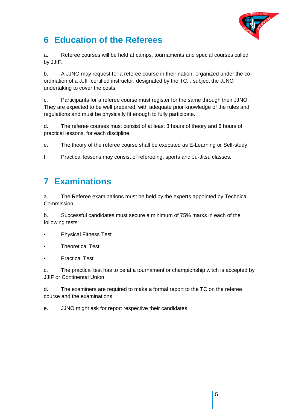

## <span id="page-5-0"></span>**6 Education of the Referees**

a. Referee courses will be held at camps, tournaments and special courses called by JJIF.

b. A JJNO may request for a referee course in their nation, organized under the coordination of a JJIF certified instructor, designated by the TC. , subject the JJNO undertaking to cover the costs.

c. Participants for a referee course must register for the same through their JJNO. They are expected to be well prepared, with adequate prior knowledge of the rules and regulations and must be physically fit enough to fully participate.

d. The referee courses must consist of at least 3 hours of theory and 6 hours of practical lessons, for each discipline.

e. The theory of the referee course shall be executed as E-Learning or Self-study.

f. Practical lessons may consist of refereeing, sports and Ju-Jitsu classes.

## <span id="page-5-1"></span>**7 Examinations**

a. The Referee examinations must be held by the experts appointed by Technical Commission.

b. Successful candidates must secure a minimum of 75% marks in each of the following tests:

- Physical Fitness Test
- Theoretical Test
- Practical Test

c. The practical test has to be at a tournament or championship witch is accepted by JJIF or Continental Union.

d. The examiners are required to make a formal report to the TC on the referee course and the examinations.

e. JJNO might ask for report respective their candidates.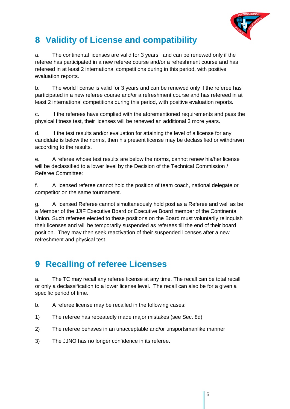

# <span id="page-6-0"></span>**8 Validity of License and compatibility**

a. The continental licenses are valid for 3 years and can be renewed only if the referee has participated in a new referee course and/or a refreshment course and has refereed in at least 2 international competitions during in this period, with positive evaluation reports.

b. The world license is valid for 3 years and can be renewed only if the referee has participated in a new referee course and/or a refreshment course and has refereed in at least 2 international competitions during this period, with positive evaluation reports.

c. If the referees have complied with the aforementioned requirements and pass the physical fitness test, their licenses will be renewed an additional 3 more years.

d. If the test results and/or evaluation for attaining the level of a license for any candidate is below the norms, then his present license may be declassified or withdrawn according to the results.

e. A referee whose test results are below the norms, cannot renew his/her license will be declassified to a lower level by the Decision of the Technical Commission / Referee Committee:

f. A licensed referee cannot hold the position of team coach, national delegate or competitor on the same tournament.

g. A licensed Referee cannot simultaneously hold post as a Referee and well as be a Member of the JJIF Executive Board or Executive Board member of the Continental Union. Such referees elected to these positions on the Board must voluntarily relinquish their licenses and will be temporarily suspended as referees till the end of their board position. They may then seek reactivation of their suspended licenses after a new refreshment and physical test.

## <span id="page-6-1"></span>**9 Recalling of referee Licenses**

a. The TC may recall any referee license at any time. The recall can be total recall or only a declassification to a lower license level. The recall can also be for a given a specific period of time.

- b. A referee license may be recalled in the following cases:
- 1) The referee has repeatedly made major mistakes (see Sec. 8d)
- 2) The referee behaves in an unacceptable and/or unsportsmanlike manner
- 3) The JJNO has no longer confidence in its referee.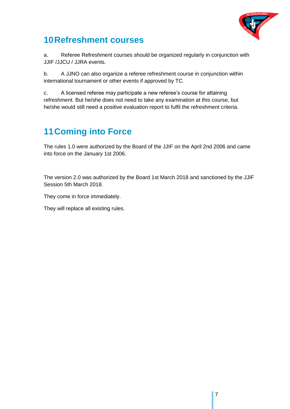

#### <span id="page-7-0"></span>**10Refreshment courses**

a. Referee Refreshment courses should be organized regularly in conjunction with JJIF /JJCU / JJRA events.

b. A JJNO can also organize a referee refreshment course in conjunction within international tournament or other events if approved by TC.

c. A licensed referee may participate a new referee's course for attaining refreshment. But he/she does not need to take any examination at this course, but he/she would still need a positive evaluation report to fulfil the refreshment criteria.

# <span id="page-7-1"></span>**11Coming into Force**

The rules 1.0 were authorized by the Board of the JJIF on the April 2nd 2006 and came into force on the January 1st 2006.

The version 2.0 was authorized by the Board 1st March 2018 and sanctioned by the JJIF Session 5th March 2018.

They come in force immediately.

They will replace all existing rules.